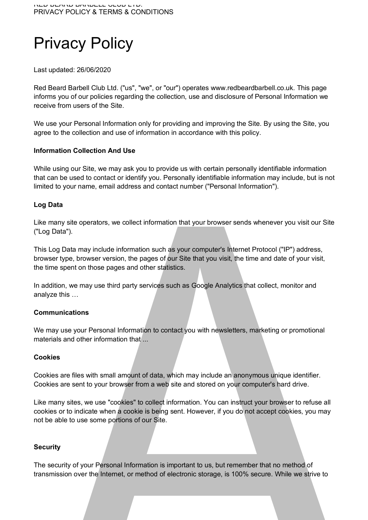# Privacy Policy

Last updated: 26/06/2020

Red Beard Barbell Club Ltd. ("us", "we", or "our") operates www.redbeardbarbell.co.uk. This page informs you of our policies regarding the collection, use and disclosure of Personal Information we receive from users of the Site.

We use your Personal Information only for providing and improving the Site. By using the Site, you agree to the collection and use of information in accordance with this policy.

# **Information Collection And Use**

While using our Site, we may ask you to provide us with certain personally identifiable information that can be used to contact or identify you. Personally identifiable information may include, but is not limited to your name, email address and contact number ("Personal Information").

# **Log Data**

Like many site operators, we collect information that your browser sends whenever you visit our Site ("Log Data").

This Log Data may include information such as your computer's Internet Protocol ("IP") address, browser type, browser version, the pages of our Site that you visit, the time and date of your visit, the time spent on those pages and other statistics.

In addition, we may use third party services such as Google Analytics that collect, monitor and analyze this …

## **Communications**

We may use your Personal Information to contact you with newsletters, marketing or promotional materials and other information that ...

## **Cookies**

Cookies are files with small amount of data, which may include an anonymous unique identifier. Cookies are sent to your browser from a web site and stored on your computer's hard drive.

Like many sites, we use "cookies" to collect information. You can instruct your browser to refuse all cookies or to indicate when a cookie is being sent. However, if you do not accept cookies, you may not be able to use some portions of our Site.

## **Security**

The security of your Personal Information is important to us, but remember that no method of transmission over the Internet, or method of electronic storage, is 100% secure. While we strive to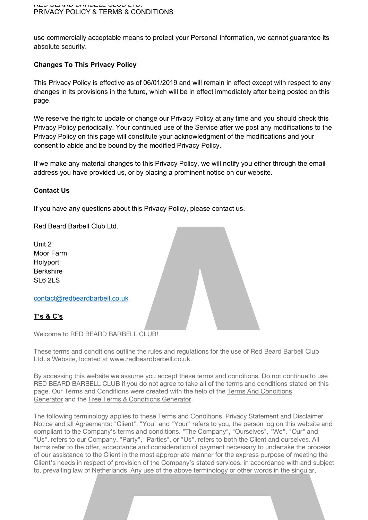use commercially acceptable means to protect your Personal Information, we cannot guarantee its absolute security.

# **Changes To This Privacy Policy**

This Privacy Policy is effective as of 06/01/2019 and will remain in effect except with respect to any changes in its provisions in the future, which will be in effect immediately after being posted on this page.

We reserve the right to update or change our Privacy Policy at any time and you should check this Privacy Policy periodically. Your continued use of the Service after we post any modifications to the Privacy Policy on this page will constitute your acknowledgment of the modifications and your consent to abide and be bound by the modified Privacy Policy.

If we make any material changes to this Privacy Policy, we will notify you either through the email address you have provided us, or by placing a prominent notice on our website.

# **Contact Us**

If you have any questions about this Privacy Policy, please contact us.

Red Beard Barbell Club Ltd.

Unit 2 Moor Farm Holyport Berkshire SL6 2LS

contact@redbeardbarbell.co.uk

# **T's & C's**

Welcome to RED BEARD BARBELL CLUB!

These terms and conditions outline the rules and regulations for the use of Red Beard Barbell Club Ltd.'s Website, located at www.redbeardbarbell.co.uk.

By accessing this website we assume you accept these terms and conditions. Do not continue to use RED BEARD BARBELL CLUB if you do not agree to take all of the terms and conditions stated on this page. Our Terms and Conditions were created with the help of the Terms And Conditions Generator and the Free Terms & Conditions Generator.

The following terminology applies to these Terms and Conditions, Privacy Statement and Disclaimer Notice and all Agreements: "Client", "You" and "Your" refers to you, the person log on this website and compliant to the Company's terms and conditions. "The Company", "Ourselves", "We", "Our" and "Us", refers to our Company. "Party", "Parties", or "Us", refers to both the Client and ourselves. All terms refer to the offer, acceptance and consideration of payment necessary to undertake the process of our assistance to the Client in the most appropriate manner for the express purpose of meeting the Client's needs in respect of provision of the Company's stated services, in accordance with and subject to, prevailing law of Netherlands. Any use of the above terminology or other words in the singular,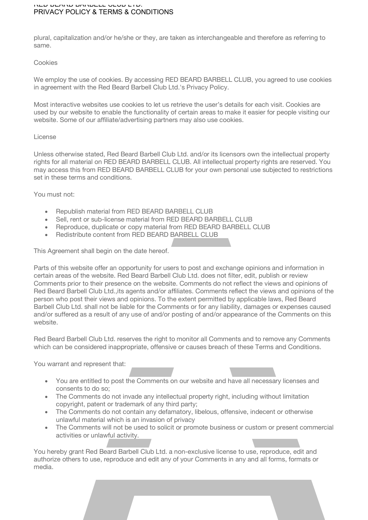#### RED BEARD BARBELL CLUB LTD. PRIVACY POLICY & TERMS & CONDITIONS

plural, capitalization and/or he/she or they, are taken as interchangeable and therefore as referring to same.

#### Cookies

We employ the use of cookies. By accessing RED BEARD BARBELL CLUB, you agreed to use cookies in agreement with the Red Beard Barbell Club Ltd.'s Privacy Policy.

Most interactive websites use cookies to let us retrieve the user's details for each visit. Cookies are used by our website to enable the functionality of certain areas to make it easier for people visiting our website. Some of our affiliate/advertising partners may also use cookies.

#### License

Unless otherwise stated, Red Beard Barbell Club Ltd. and/or its licensors own the intellectual property rights for all material on RED BEARD BARBELL CLUB. All intellectual property rights are reserved. You may access this from RED BEARD BARBELL CLUB for your own personal use subjected to restrictions set in these terms and conditions.

You must not:

- Republish material from RED BEARD BARBELL CLUB
- Sell, rent or sub-license material from RED BEARD BARBELL CLUB
- Reproduce, duplicate or copy material from RED BEARD BARBELL CLUB
- Redistribute content from RED BEARD BARBELL CLUB

This Agreement shall begin on the date hereof.

Parts of this website offer an opportunity for users to post and exchange opinions and information in certain areas of the website. Red Beard Barbell Club Ltd. does not filter, edit, publish or review Comments prior to their presence on the website. Comments do not reflect the views and opinions of Red Beard Barbell Club Ltd.,its agents and/or affiliates. Comments reflect the views and opinions of the person who post their views and opinions. To the extent permitted by applicable laws, Red Beard Barbell Club Ltd. shall not be liable for the Comments or for any liability, damages or expenses caused and/or suffered as a result of any use of and/or posting of and/or appearance of the Comments on this website.

Red Beard Barbell Club Ltd. reserves the right to monitor all Comments and to remove any Comments which can be considered inappropriate, offensive or causes breach of these Terms and Conditions.

You warrant and represent that:

- You are entitled to post the Comments on our website and have all necessary licenses and consents to do so;
- The Comments do not invade any intellectual property right, including without limitation copyright, patent or trademark of any third party;
- The Comments do not contain any defamatory, libelous, offensive, indecent or otherwise unlawful material which is an invasion of privacy
- The Comments will not be used to solicit or promote business or custom or present commercial activities or unlawful activity.

You hereby grant Red Beard Barbell Club Ltd. a non-exclusive license to use, reproduce, edit and authorize others to use, reproduce and edit any of your Comments in any and all forms, formats or media.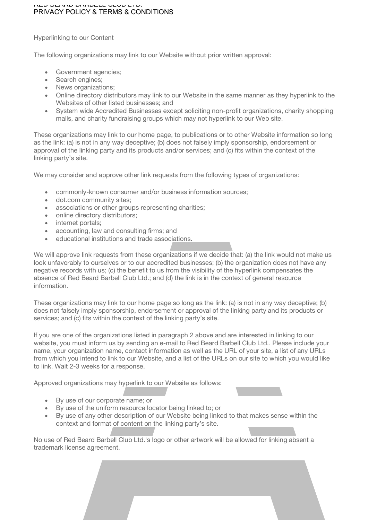#### RED BEARD BARBELL CLUB LTD. PRIVACY POLICY & TERMS & CONDITIONS

Hyperlinking to our Content

The following organizations may link to our Website without prior written approval:

- Government agencies;
- Search engines;
- News organizations;
- Online directory distributors may link to our Website in the same manner as they hyperlink to the Websites of other listed businesses; and
- System wide Accredited Businesses except soliciting non-profit organizations, charity shopping malls, and charity fundraising groups which may not hyperlink to our Web site.

These organizations may link to our home page, to publications or to other Website information so long as the link: (a) is not in any way deceptive; (b) does not falsely imply sponsorship, endorsement or approval of the linking party and its products and/or services; and (c) fits within the context of the linking party's site.

We may consider and approve other link requests from the following types of organizations:

- commonly-known consumer and/or business information sources;
- dot.com community sites;
- associations or other groups representing charities;
- online directory distributors;
- internet portals:
- accounting, law and consulting firms; and
- educational institutions and trade associations.

We will approve link requests from these organizations if we decide that: (a) the link would not make us look unfavorably to ourselves or to our accredited businesses; (b) the organization does not have any negative records with us; (c) the benefit to us from the visibility of the hyperlink compensates the absence of Red Beard Barbell Club Ltd.; and (d) the link is in the context of general resource information.

These organizations may link to our home page so long as the link: (a) is not in any way deceptive; (b) does not falsely imply sponsorship, endorsement or approval of the linking party and its products or services; and (c) fits within the context of the linking party's site.

If you are one of the organizations listed in paragraph 2 above and are interested in linking to our website, you must inform us by sending an e-mail to Red Beard Barbell Club Ltd.. Please include your name, your organization name, contact information as well as the URL of your site, a list of any URLs from which you intend to link to our Website, and a list of the URLs on our site to which you would like to link. Wait 2-3 weeks for a response.

Approved organizations may hyperlink to our Website as follows:

- By use of our corporate name; or
- By use of the uniform resource locator being linked to; or
- By use of any other description of our Website being linked to that makes sense within the context and format of content on the linking party's site.

No use of Red Beard Barbell Club Ltd.'s logo or other artwork will be allowed for linking absent a trademark license agreement.